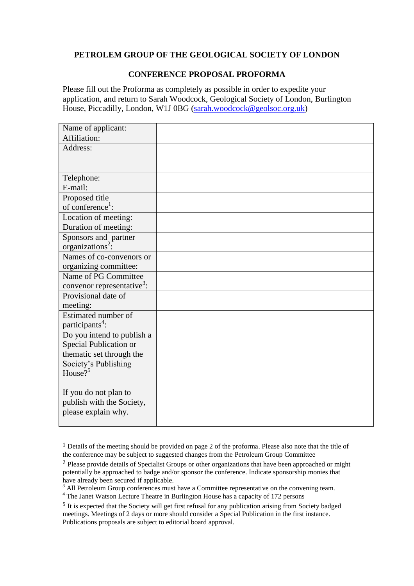## **PETROLEM GROUP OF THE GEOLOGICAL SOCIETY OF LONDON**

## **CONFERENCE PROPOSAL PROFORMA**

Please fill out the Proforma as completely as possible in order to expedite your application, and return to Sarah Woodcock, Geological Society of London, Burlington House, Piccadilly, London, W1J 0BG [\(sarah.woodcock@geolsoc.org.uk\)](sarah.woodcock@geolsoc.org.uk)

| Name of applicant:                     |  |
|----------------------------------------|--|
| Affiliation:                           |  |
| Address:                               |  |
|                                        |  |
|                                        |  |
| Telephone:                             |  |
| E-mail:                                |  |
| Proposed title                         |  |
| of conference <sup>1</sup> :           |  |
| Location of meeting:                   |  |
| Duration of meeting:                   |  |
| Sponsors and partner                   |  |
| organizations <sup>2</sup> :           |  |
| Names of co-convenors or               |  |
| organizing committee:                  |  |
| Name of PG Committee                   |  |
| convenor representative <sup>3</sup> : |  |
| Provisional date of                    |  |
| meeting:                               |  |
| Estimated number of                    |  |
| participants <sup>4</sup> :            |  |
| Do you intend to publish a             |  |
| Special Publication or                 |  |
| thematic set through the               |  |
| Society's Publishing                   |  |
| House? <sup>5</sup>                    |  |
|                                        |  |
| If you do not plan to                  |  |
| publish with the Society,              |  |
| please explain why.                    |  |
|                                        |  |

<sup>1</sup> Details of the meeting should be provided on page 2 of the proforma. Please also note that the title of the conference may be subject to suggested changes from the Petroleum Group Committee

<sup>2</sup> Please provide details of Specialist Groups or other organizations that have been approached or might potentially be approached to badge and/or sponsor the conference. Indicate sponsorship monies that have already been secured if applicable.

<sup>&</sup>lt;sup>3</sup> All Petroleum Group conferences must have a Committee representative on the convening team. <sup>4</sup> The Janet Watson Lecture Theatre in Burlington House has a capacity of 172 persons

<sup>5</sup> It is expected that the Society will get first refusal for any publication arising from Society badged meetings. Meetings of 2 days or more should consider a Special Publication in the first instance. Publications proposals are subject to editorial board approval.